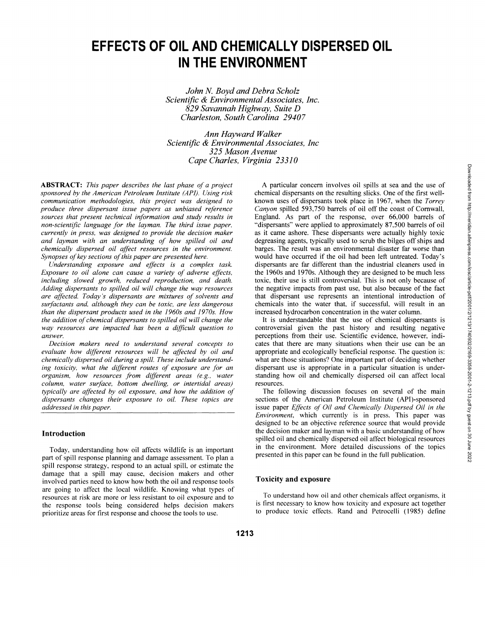# **EFFECTS OF OIL AND CHEMICALLY DISPERSED OIL IN THE ENVIRONMENT**

*John N. Boyd and Debra Scholz Scientific & Environmental Associates, Inc. 829 Savannah Highway, Suite D Charleston, South Carolina 29407* 

*Ann Hayward Walker Scientific & Environmental Associates, Inc 325 Mason Avenue Cape Charles, Virginia 23310* 

**ABSTRACT:** *This paper describes the last phase of a project sponsored by the American Petroleum Institute (API). Using risk communication methodologies, this project was designed to produce three dispersant issue papers as unbiased reference sources that present technical information and study results in non-scientific language for the layman. The third issue paper, currently in press, was designed to provide the decision maker and layman with an understanding of how spilled oil and chemically dispersed oil affect resources in the environment. Synopses of key sections of this paper are presented here.* 

*Understanding exposure and effects is a complex task. Exposure to oil alone can cause a variety of adverse effects, including slowed growth, reduced reproduction, and death. Adding dispersants to spilled oil will change the way resources are affected. Today's dispersants are mixtures of solvents and surfactants and, although they can be toxic, are less dangerous than the dispersant products used in the 1960s and 1970s. How the addition of chemical dispersants to spilled oil will change the way resources are impacted has been a difficult question to answer.* 

*Decision makers need to understand several concepts to evaluate how different resources will be affected by oil and chemically dispersed oil during a spill. These include understanding toxicity, what the different routes of exposure are for an organism, how resources from different areas (e.g., water column, water surface, bottom dwelling, or intertidal areas) typically are affected by oil exposure, and how the addition of dispersants changes their exposure to oil. These topics are addressed in this paper.* 

## **Introduction**

Today, understanding how oil affects wildlife is an important part of spill response planning and damage assessment. To plan a spill response strategy, respond to an actual spill, or estimate the damage that a spill may cause, decision makers and other involved parties need to know how both the oil and response tools are going to affect the local wildlife. Knowing what types of resources at risk are more or less resistant to oil exposure and to the response tools being considered helps decision makers prioritize areas for first response and choose the tools to use.

A particular concern involves oil spills at sea and the use of chemical dispersants on the resulting slicks. One of the first wellknown uses of dispersants took place in 1967, when the *Torrey Canyon* spilled 593,750 barrels of oil off the coast of Cornwall, England. As part of the response, over 66,000 barrels of "dispersants" were applied to approximately 87,500 barrels of oil as it came ashore. These dispersants were actually highly toxic degreasing agents, typically used to scrub the bilges off ships and barges. The result was an environmental disaster far worse than would have occurred if the oil had been left untreated. Today's dispersants are far different than the industrial cleaners used in the 1960s and 1970s. Although they are designed to be much less toxic, their use is still controversial. This is not only because of the negative impacts from past use, but also because of the fact that dispersant use represents an intentional introduction of chemicals into the water that, if successful, will result in an increased hydrocarbon concentration in the water column.

It is understandable that the use of chemical dispersants is controversial given the past history and resulting negative perceptions from their use. Scientific evidence, however, indicates that there are many situations when their use can be an appropriate and ecologically beneficial response. The question is: what are those situations? One important part of deciding whether dispersant use is appropriate in a particular situation is understanding how oil and chemically dispersed oil can affect local resources.

The following discussion focuses on several of the main sections of the American Petroleum Institute (API)-sponsored issue paper *Effects of Oil and Chemically Dispersed Oil in the Environment,* which currently is in press. This paper was designed to be an objective reference source that would provide the decision maker and layman with a basic understanding of how spilled oil and chemically dispersed oil affect biological resources in the environment. More detailed discussions of the topics presented in this paper can be found in the full publication.

#### **Toxicity and exposure**

To understand how oil and other chemicals affect organisms, it is first necessary to know how toxicity and exposure act together to produce toxic effects. Rand and Petrocelli (1985) define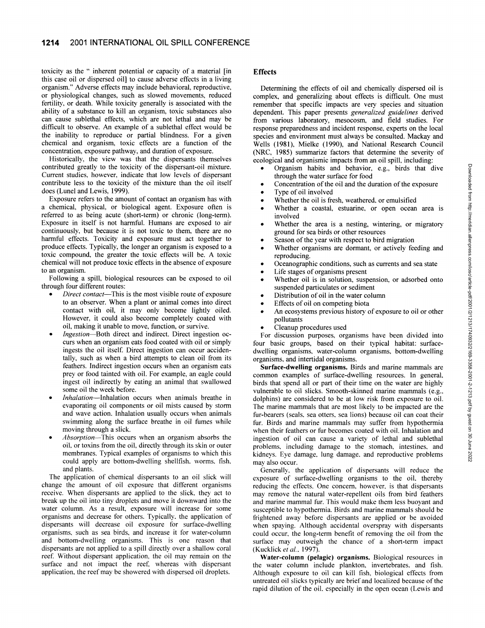toxicity as the " inherent potential or capacity of a material [in this case oil or dispersed oil] to cause adverse effects in a living organism." Adverse effects may include behavioral, reproductive, or physiological changes, such as slowed movements, reduced fertility, or death. While toxicity generally is associated with the ability of a substance to kill an organism, toxic substances also can cause sublethal effects, which are not lethal and may be difficult to observe. An example of a sublethal effect would be the inability to reproduce or partial blindness. For a given chemical and organism, toxic effects are a function of the concentration, exposure pathway, and duration of exposure.

Historically, the view was that the dispersants themselves contributed greatly to the toxicity of the dispersant-oil mixture. Current studies, however, indicate that low levels of dispersant contribute less to the toxicity of the mixture than the oil itself does (Lunel and Lewis, 1999).

Exposure refers to the amount of contact an organism has with a chemical, physical, or biological agent. Exposure often is referred to as being acute (short-term) or chronic (long-term). Exposure in itself is not harmful. Humans are exposed to air continuously, but because it is not toxic to them, there are no harmful effects. Toxicity and exposure must act together to produce effects. Typically, the longer an organism is exposed to a toxic compound, the greater the toxic effects will be. A toxic chemical will not produce toxic effects in the absence of exposure to an organism.

Following a spill, biological resources can be exposed to oil through four different routes:

- • *Direct contact*—This is the most visible route of exposure to an observer. When a plant or animal comes into direct contact with oil, it may only become lightly oiled. However, it could also become completely coated with oil, making it unable to move, function, or survive.
- • *Ingestion*—Both direct and indirect. Direct ingestion occurs when an organism eats food coated with oil or simply ingests the oil itself. Direct ingestion can occur accidentally, such as when a bird attempts to clean oil from its feathers. Indirect ingestion occurs when an organism eats prey or food tainted with oil. For example, an eagle could ingest oil indirectly by eating an animal that swallowed some oil the week before.
- • *Inhalation*—Inhalation occurs when animals breathe in evaporating oil components or oil mists caused by storm and wave action. Inhalation usually occurs when animals swimming along the surface breathe in oil fumes while moving through a slick.
- • *Absorption*—This occurs when an organism absorbs the oil. or toxins from the oil, directly through its skin or outer membranes. Typical examples of organisms to which this could apply are bottom-dwelling shellfish, worms, fish. and plants.

The application of chemical dispersants to an oil slick will change the amount of oil exposure that different organisms receive. When dispersants are applied to the slick, they act to break up the oil into tiny droplets and move it downward into the water column. As a result, exposure will increase for some organisms and decrease for others. Typically, the application of dispersants will decrease oil exposure for surface-dwelling organisms, such as sea birds, and increase it for water-column and bottom-dwelling organisms. This is one reason that dispersants are not applied to a spill directly over a shallow coral reef. Without dispersant application, the oil may remain on the surface and not impact the reef, whereas with dispersant application, the reef may be showered with dispersed oil droplets.

## **Effects**

Determining the effects of oil and chemically dispersed oil is complex, and generalizing about effects is difficult. One must remember that specific impacts are very species and situation dependent. This paper presents *generalized guidelines* derived from various laboratory, mesocosm, and field studies. For response preparedness and incident response, experts on the local species and environment must always be consulted. Mackay and Wells (1981), Mielke (1990), and National Research Council (NRC, 1985) summarize factors that determine the severity of ecological and organismic impacts from an oil spill, including:

- Organism habits and behavior, e.g., birds that dive through the water surface for food
- Concentration of the oil and the duration of the exposure
- Type of oil involved
	- Whether the oil is fresh, weathered, or emulsified Whether a coastal, estuarine, or open ocean area is
- involved Whether the area is a nesting, wintering, or migratory
- ground for sea birds or other resources
- Season of the year with respect to bird migration
- Whether organisms are dormant, or actively feeding and reproducing.
- Océanographie conditions, such as currents and sea state
- Life stages of organisms present
- Whether oil is in solution, suspension, or adsorbed onto suspended particulates or sediment
- Distribution of oil in the water column
- Effects of oil on competing biota
- An ecosystems previous history of exposure to oil or other pollutants
- Cleanup procedures used

For discussion purposes, organisms have been divided into four basic groups, based on their typical habitat: surfacedwelling organisms, water-column organisms, bottom-dwelling organisms, and intertidal organisms.

**Surface-dwelling organisms.** Birds and marine mammals are common examples of surface-dwelling resources. In general, birds that spend all or part of their time on the water are highly vulnerable to oil slicks. Smooth-skinned marine mammals (e.g.. dolphins) are considered to be at low risk from exposure to oil. The marine mammals that are most likely to be impacted are the fur-bearers (seals, sea otters, sea lions) because oil can coat their fur. Birds and marine mammals may suffer from hypothermia when their feathers or fur becomes coated with oil. Inhalation and ingestion of oil can cause a variety of lethal and sublethal problems, including damage to the stomach, intestines, and kidneys. Eye damage, lung damage, and reproductive problems may also occur.

Generally, the application of dispersants will reduce the exposure of surface-dwelling organisms to the oil, thereby reducing the effects. One concern, however, is that dispersants may remove the natural water-repellent oils from bird feathers and marine mammal fur. This would make them less buoyant and susceptible to hypothermia. Birds and marine mammals should be frightened away before dispersants are applied or be avoided when spaying. Although accidental overspray with dispersants could occur, the long-term benefit of removing the oil from the surface may outweigh the chance of a short-term impact (Kucklick et al., 1997).

**Water-column (pelagic) organisms.** Biological resources in the water column include plankton, invertebrates, and fish. Although exposure to oil can kill fish, biological effects from untreated oil slicks typically are brief and localized because of the rapid dilution of the oil. especially in the open ocean (Lewis and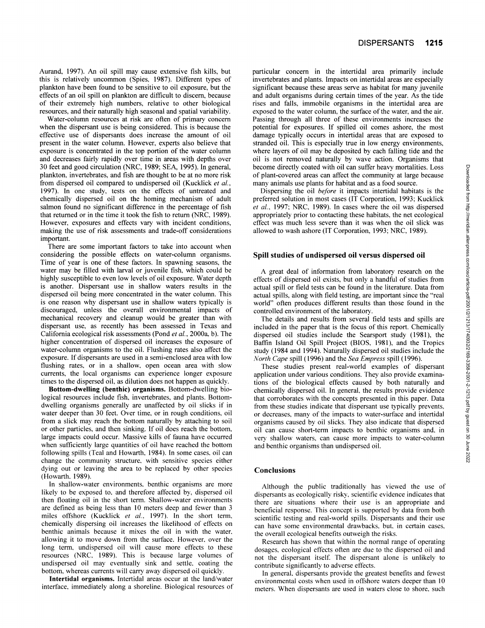Aurand, 1997). An oil spill may cause extensive fish kills, but this is relatively uncommon (Spies, 1987). Different types of plankton have been found to be sensitive to oil exposure, but the effects of an oil spill on plankton are difficult to discern, because of their extremely high numbers, relative to other biological resources, and their naturally high seasonal and spatial variability.

Water-column resources at risk are often of primary concern when the dispersant use is being considered. This is because the effective use of dispersants does increase the amount of oil present in the water column. However, experts also believe that exposure is concentrated in the top portion of the water column and decreases fairly rapidly over time in areas with depths over 30 feet and good circulation (NRC, 1989; SEA, 1995). In general, plankton, invertebrates, and fish are thought to be at no more risk from dispersed oil compared to undispersed oil (Kucklick et al., 1997). In one study, tests on the effects of untreated and chemically dispersed oil on the homing mechanism of adult salmon found no significant difference in the percentage of fish that returned or in the time it took the fish to return (NRC, 1989). However, exposures and effects vary with incident conditions, making the use of risk assessments and trade-off considerations important.

There are some important factors to take into account when considering the possible effects on water-column organisms. Time of year is one of these factors. In spawning seasons, the water may be filled with larval or juvenile fish, which could be highly susceptible to even low levels of oil exposure. Water depth is another. Dispersant use in shallow waters results in the dispersed oil being more concentrated in the water column. This is one reason why dispersant use in shallow waters typically is discouraged, unless the overall environmental impacts of mechanical recovery and cleanup would be greater than with dispersant use, as recently has been assessed in Texas and California ecological risk assessments (Pond *et al,* 2000a, b). The higher concentration of dispersed oil increases the exposure of water-column organisms to the oil. Flushing rates also affect the exposure. If dispersants are used in a semi-enclosed area with low flushing rates, or in a shallow, open ocean area with slow currents, the local organisms can experience longer exposure times to the dispersed oil, as dilution does not happen as quickly.

**Bottom-dwelling (benthic) organisms.** Bottom-dwelling biological resources include fish, invertebrates, and plants. Bottomdwelling organisms generally are unaffected by oil slicks if in water deeper than 30 feet. Over time, or in rough conditions, oil from a slick may reach the bottom naturally by attaching to soil or other particles, and then sinking. If oil does reach the bottom, large impacts could occur. Massive kills of fauna have occurred when sufficiently large quantities of oil have reached the bottom following spills (Teal and Howarth, 1984). In some cases, oil can change the community structure, with sensitive species either dying out or leaving the area to be replaced by other species (Howarth. 1989).

In shallow-water environments, benthic organisms are more likely to be exposed to, and therefore affected by, dispersed oil then floating oil in the short term. Shallow-water environments are defined as being less than 10 meters deep and fewer than 3 miles offshore (Kucklick *et al,* 1997). In the short term, chemically dispersing oil increases the likelihood of effects on benthic animals because it mixes the oil in with the water, allowing it to move down from the surface. However, over the long term, undispersed oil will cause more effects to these resources (NRC, 1989). This is because large volumes of undispersed oil may eventually sink and settle, coating the bottom, whereas currents will carry away dispersed oil quickly.

**Intertidal organisms.** Intertidal areas occur at the land/water interface, immediately along a shoreline. Biological resources of particular concern in the intertidal area primarily include invertebrates and plants. Impacts on intertidal areas are especially significant because these areas serve as habitat for many juvenile and adult organisms during certain times of the year. As the tide rises and falls, immobile organisms in the intertidal area are exposed to the water column, the surface of the water, and the air. Passing through all three of these environments increases the potential for exposures. If spilled oil comes ashore, the most damage typically occurs in intertidal areas that are exposed to stranded oil. This is especially true in low energy environments, where layers of oil may be deposited by each falling tide and the oil is not removed naturally by wave action. Organisms that become directly coated with oil can suffer heavy mortalities. Loss of plant-covered areas can affect the community at large because many animals use plants for habitat and as a food source.

Dispersing the oil *before* it impacts intertidal habitats is the preferred solution in most cases (IT Corporation, 1993; Kucklick *et al,* 1997; NRC, 1989). In cases where the oil was dispersed appropriately prior to contacting these habitats, the net ecological effect was much less severe than it was when the oil slick was allowed to wash ashore (IT Corporation, 1993; NRC, 1989).

#### **Spill studies of undispersed oil versus dispersed oil**

A great deal of information from laboratory research on the effects of dispersed oil exists, but only a handful of studies from actual spill or field tests can be found in the literature. Data from actual spills, along with field testing, are important since the "real world" often produces different results than those found in the controlled environment of the laboratory.

The details and results from several field tests and spills are included in the paper that is the focus of this report. Chemically dispersed oil studies include the Searsport study (1981), the Baffin Island Oil Spill Project (BIOS, 1981), and the Tropics study (1984 and 1994). Naturally dispersed oil studies include the *North Cape* spill (1996) and the *Sea Empress* spill (1996).

These studies present real-world examples of dispersant application under various conditions. They also provide examinations of the biological effects caused by both naturally and chemically dispersed oil. In general, the results provide evidence that corroborates with the concepts presented in this paper. Data from these studies indicate that dispersant use typically prevents, or decreases, many of the impacts to water-surface and intertidal organisms caused by oil slicks. They also indicate that dispersed oil can cause short-term impacts to benthic organisms and. in very shallow waters, can cause more impacts to water-column and benthic organisms than undispersed oil.

## **Conclusions**

Although the public traditionally has viewed the use of dispersants as ecologically risky, scientific evidence indicates that there are situations where their use is an appropriate and beneficial response. This concept is supported by data from both scientific testing and real-world spills. Dispersants and their use can have some environmental drawbacks, but, in certain cases, the overall ecological benefits outweigh the risks.

Research has shown that within the normal range of operating dosages, ecological effects often are due to the dispersed oil and not the dispersant itself. The dispersant alone is unlikely to contribute significantly to adverse effects.

In general, dispersants provide the greatest benefits and fewest environmental costs when used in offshore waters deeper than 10 meters. When dispersants are used in waters close to shore, such